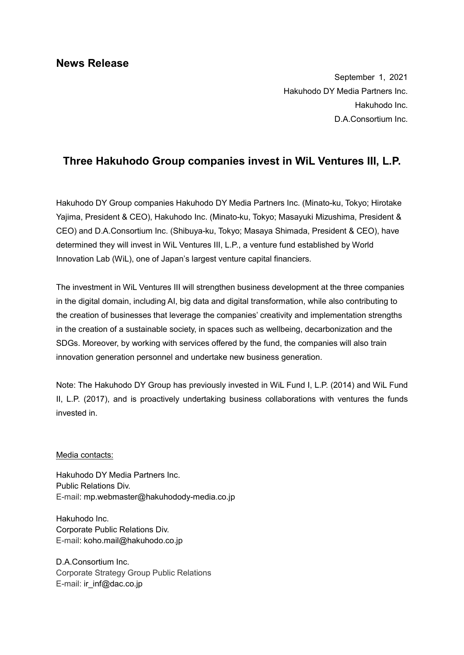September 1, 2021 Hakuhodo DY Media Partners Inc. Hakuhodo Inc. D.A.Consortium Inc.

## **Three Hakuhodo Group companies invest in WiL Ventures III, L.P.**

Hakuhodo DY Group companies Hakuhodo DY Media Partners Inc. (Minato-ku, Tokyo; Hirotake Yajima, President & CEO), Hakuhodo Inc. (Minato-ku, Tokyo; Masayuki Mizushima, President & CEO) and D.A.Consortium Inc. (Shibuya-ku, Tokyo; Masaya Shimada, President & CEO), have determined they will invest in WiL Ventures III, L.P., a venture fund established by World Innovation Lab (WiL), one of Japan's largest venture capital financiers.

The investment in WiL Ventures III will strengthen business development at the three companies in the digital domain, including AI, big data and digital transformation, while also contributing to the creation of businesses that leverage the companies' creativity and implementation strengths in the creation of a sustainable society, in spaces such as wellbeing, decarbonization and the SDGs. Moreover, by working with services offered by the fund, the companies will also train innovation generation personnel and undertake new business generation.

Note: The Hakuhodo DY Group has previously invested in WiL Fund I, L.P. (2014) and WiL Fund II, L.P. (2017), and is proactively undertaking business collaborations with ventures the funds invested in.

## Media contacts:

Hakuhodo DY Media Partners Inc. Public Relations Div. E-mail: [mp.webmaster@hakuhodody-media.co.jp](mailto:mp.webmaster@hakuhodody-media.co.jp)

Hakuhodo Inc. Corporate Public Relations Div. E-mail: koho.mail@hakuhodo.co.jp

D.A.Consortium Inc. Corporate Strategy Group Public Relations E-mail: ir inf@dac.co.jp